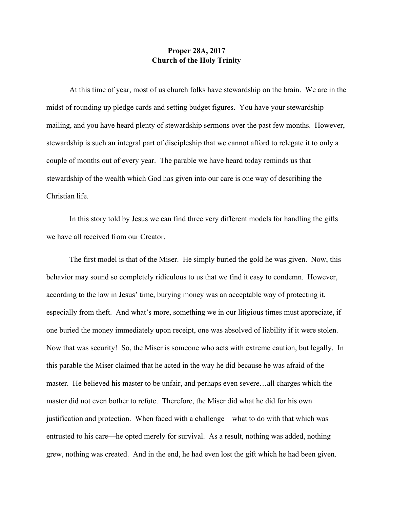## **Proper 28A, 2017 Church of the Holy Trinity**

At this time of year, most of us church folks have stewardship on the brain. We are in the midst of rounding up pledge cards and setting budget figures. You have your stewardship mailing, and you have heard plenty of stewardship sermons over the past few months. However, stewardship is such an integral part of discipleship that we cannot afford to relegate it to only a couple of months out of every year. The parable we have heard today reminds us that stewardship of the wealth which God has given into our care is one way of describing the Christian life.

In this story told by Jesus we can find three very different models for handling the gifts we have all received from our Creator.

The first model is that of the Miser. He simply buried the gold he was given. Now, this behavior may sound so completely ridiculous to us that we find it easy to condemn. However, according to the law in Jesus' time, burying money was an acceptable way of protecting it, especially from theft. And what's more, something we in our litigious times must appreciate, if one buried the money immediately upon receipt, one was absolved of liability if it were stolen. Now that was security! So, the Miser is someone who acts with extreme caution, but legally. In this parable the Miser claimed that he acted in the way he did because he was afraid of the master. He believed his master to be unfair, and perhaps even severe…all charges which the master did not even bother to refute. Therefore, the Miser did what he did for his own justification and protection. When faced with a challenge—what to do with that which was entrusted to his care—he opted merely for survival. As a result, nothing was added, nothing grew, nothing was created. And in the end, he had even lost the gift which he had been given.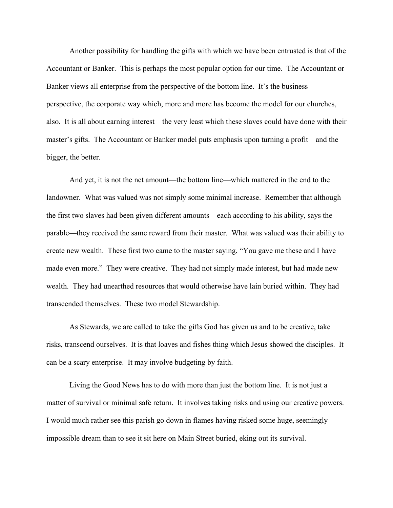Another possibility for handling the gifts with which we have been entrusted is that of the Accountant or Banker. This is perhaps the most popular option for our time. The Accountant or Banker views all enterprise from the perspective of the bottom line. It's the business perspective, the corporate way which, more and more has become the model for our churches, also. It is all about earning interest—the very least which these slaves could have done with their master's gifts. The Accountant or Banker model puts emphasis upon turning a profit—and the bigger, the better.

And yet, it is not the net amount—the bottom line—which mattered in the end to the landowner. What was valued was not simply some minimal increase. Remember that although the first two slaves had been given different amounts—each according to his ability, says the parable—they received the same reward from their master. What was valued was their ability to create new wealth. These first two came to the master saying, "You gave me these and I have made even more." They were creative. They had not simply made interest, but had made new wealth. They had unearthed resources that would otherwise have lain buried within. They had transcended themselves. These two model Stewardship.

As Stewards, we are called to take the gifts God has given us and to be creative, take risks, transcend ourselves. It is that loaves and fishes thing which Jesus showed the disciples. It can be a scary enterprise. It may involve budgeting by faith.

Living the Good News has to do with more than just the bottom line. It is not just a matter of survival or minimal safe return. It involves taking risks and using our creative powers. I would much rather see this parish go down in flames having risked some huge, seemingly impossible dream than to see it sit here on Main Street buried, eking out its survival.